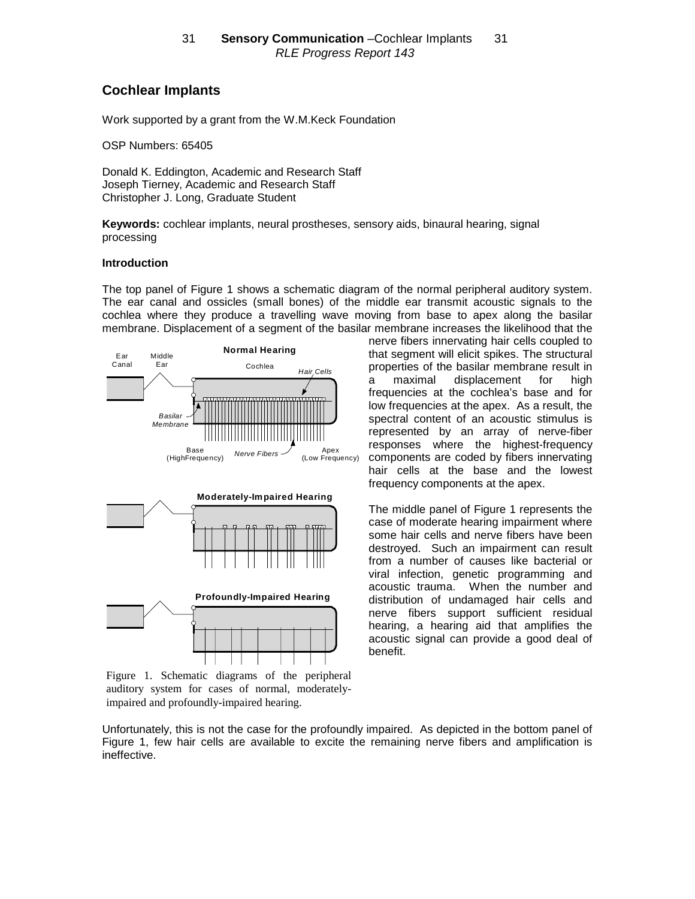# **Cochlear Implants**

Work supported by a grant from the W.M.Keck Foundation

OSP Numbers: 65405

Donald K. Eddington, Academic and Research Staff Joseph Tierney, Academic and Research Staff Christopher J. Long, Graduate Student

**Keywords:** cochlear implants, neural prostheses, sensory aids, binaural hearing, signal processing

#### **Introduction**

The top panel of Figure 1 shows a schematic diagram of the normal peripheral auditory system. The ear canal and ossicles (small bones) of the middle ear transmit acoustic signals to the cochlea where they produce a travelling wave moving from base to apex along the basilar membrane. Displacement of a segment of the basilar membrane increases the likelihood that the



Figure 1. Schematic diagrams of the peripheral auditory system for cases of normal, moderatelyimpaired and profoundly-impaired hearing.

nerve fibers innervating hair cells coupled to that segment will elicit spikes. The structural properties of the basilar membrane result in a maximal displacement for high frequencies at the cochlea's base and for low frequencies at the apex. As a result, the spectral content of an acoustic stimulus is represented by an array of nerve-fiber responses where the highest-frequency components are coded by fibers innervating hair cells at the base and the lowest frequency components at the apex.

The middle panel of Figure 1 represents the case of moderate hearing impairment where some hair cells and nerve fibers have been destroyed. Such an impairment can result from a number of causes like bacterial or viral infection, genetic programming and acoustic trauma. When the number and distribution of undamaged hair cells and nerve fibers support sufficient residual hearing, a hearing aid that amplifies the acoustic signal can provide a good deal of benefit.

Unfortunately, this is not the case for the profoundly impaired. As depicted in the bottom panel of Figure 1, few hair cells are available to excite the remaining nerve fibers and amplification is ineffective.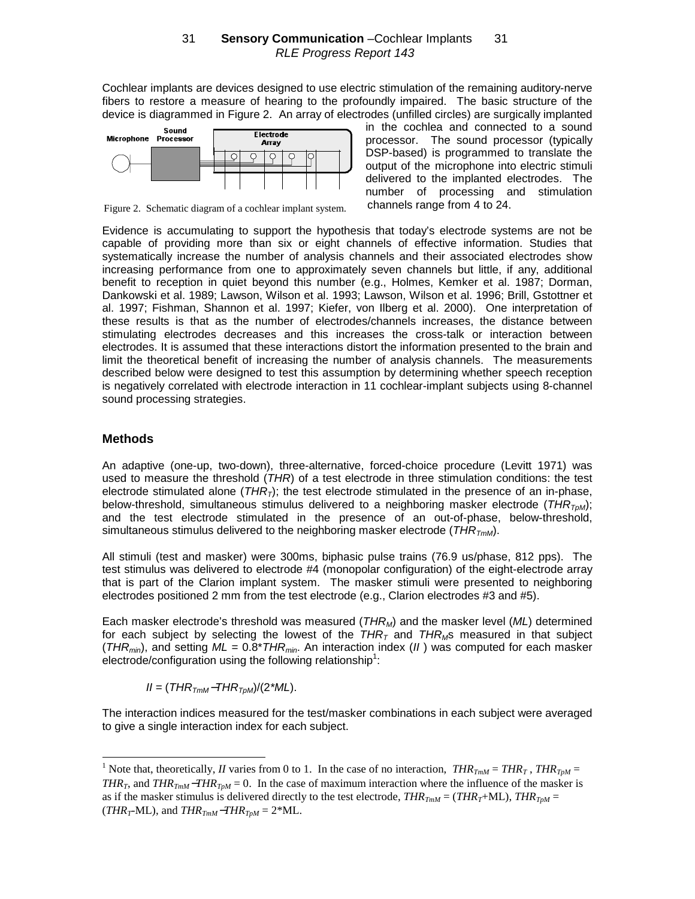Cochlear implants are devices designed to use electric stimulation of the remaining auditory-nerve fibers to restore a measure of hearing to the profoundly impaired. The basic structure of the device is diagrammed in Figure 2. An array of electrodes (unfilled circles) are surgically implanted



Figure 2. Schematic diagram of a cochlear implant system.

in the cochlea and connected to a sound processor. The sound processor (typically DSP-based) is programmed to translate the output of the microphone into electric stimuli delivered to the implanted electrodes. The number of processing and stimulation channels range from 4 to 24.

Evidence is accumulating to support the hypothesis that today's electrode systems are not be capable of providing more than six or eight channels of effective information. Studies that systematically increase the number of analysis channels and their associated electrodes show increasing performance from one to approximately seven channels but little, if any, additional benefit to reception in quiet beyond this number (e.g., Holmes, Kemker et al. 1987; Dorman, Dankowski et al. 1989; Lawson, Wilson et al. 1993; Lawson, Wilson et al. 1996; Brill, Gstottner et al. 1997; Fishman, Shannon et al. 1997; Kiefer, von Ilberg et al. 2000). One interpretation of these results is that as the number of electrodes/channels increases, the distance between stimulating electrodes decreases and this increases the cross-talk or interaction between electrodes. It is assumed that these interactions distort the information presented to the brain and limit the theoretical benefit of increasing the number of analysis channels. The measurements described below were designed to test this assumption by determining whether speech reception is negatively correlated with electrode interaction in 11 cochlear-implant subjects using 8-channel sound processing strategies.

## **Methods**

An adaptive (one-up, two-down), three-alternative, forced-choice procedure (Levitt 1971) was used to measure the threshold (THR) of a test electrode in three stimulation conditions: the test electrode stimulated alone  $(THR<sub>T</sub>)$ ; the test electrode stimulated in the presence of an in-phase, below-threshold, simultaneous stimulus delivered to a neighboring masker electrode ( $THR_{T_0M}$ ); and the test electrode stimulated in the presence of an out-of-phase, below-threshold, simultaneous stimulus delivered to the neighboring masker electrode ( $THR_{TmM}$ ).

All stimuli (test and masker) were 300ms, biphasic pulse trains (76.9 us/phase, 812 pps). The test stimulus was delivered to electrode #4 (monopolar configuration) of the eight-electrode array that is part of the Clarion implant system. The masker stimuli were presented to neighboring electrodes positioned 2 mm from the test electrode (e.g., Clarion electrodes #3 and #5).

Each masker electrode's threshold was measured  $(THR_M)$  and the masker level  $(ML)$  determined for each subject by selecting the lowest of the  $THR<sub>T</sub>$  and  $THR<sub>MS</sub>$  measured in that subject (THR<sub>min</sub>), and setting  $ML = 0.8$ \*THR<sub>min</sub>. An interaction index (II) was computed for each masker electrode/configuration using the following relationship<sup>1</sup>:

 $II = (THR<sub>TmM</sub>-THR<sub>TbM</sub>)/(2<sup>*</sup>ML).$ 

The interaction indices measured for the test/masker combinations in each subject were averaged to give a single interaction index for each subject.

<sup>&</sup>lt;sup>1</sup> Note that, theoretically, *II* varies from 0 to 1. In the case of no interaction,  $THR_{TmM} = THR_T$ ,  $THR_{TpM} =$ *THR<sub>T</sub>*, and *THR<sub>TmM</sub>*−*THR<sub>TpM</sub>* = 0. In the case of maximum interaction where the influence of the masker is as if the masker stimulus is delivered directly to the test electrode,  $THR_{TmM} = (THR_T+ML)$ ,  $THR_{TnM} =$  $(THR<sub>T</sub>-ML)$ , and  $THR<sub>TmM</sub>-THR<sub>TpM</sub> = 2*ML$ .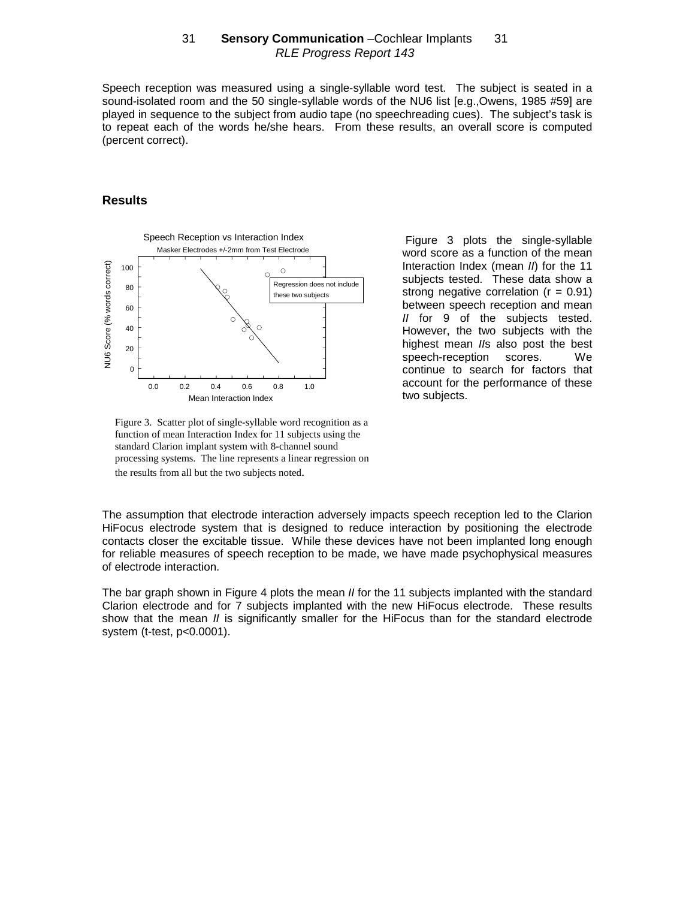Speech reception was measured using a single-syllable word test. The subject is seated in a sound-isolated room and the 50 single-syllable words of the NU6 list [e.g.,Owens, 1985 #59] are played in sequence to the subject from audio tape (no speechreading cues). The subject's task is to repeat each of the words he/she hears. From these results, an overall score is computed (percent correct).

#### **Results**



Figure 3 plots the single-syllable word score as a function of the mean Interaction Index (mean II) for the 11 subjects tested. These data show a strong negative correlation ( $r = 0.91$ ) between speech reception and mean II for 9 of the subjects tested. However, the two subjects with the highest mean IIs also post the best speech-reception scores. We continue to search for factors that account for the performance of these two subjects.

Figure 3. Scatter plot of single-syllable word recognition as a function of mean Interaction Index for 11 subjects using the standard Clarion implant system with 8-channel sound processing systems. The line represents a linear regression on the results from all but the two subjects noted.

The assumption that electrode interaction adversely impacts speech reception led to the Clarion HiFocus electrode system that is designed to reduce interaction by positioning the electrode contacts closer the excitable tissue. While these devices have not been implanted long enough for reliable measures of speech reception to be made, we have made psychophysical measures of electrode interaction.

The bar graph shown in Figure 4 plots the mean *II* for the 11 subjects implanted with the standard Clarion electrode and for 7 subjects implanted with the new HiFocus electrode. These results show that the mean *II* is significantly smaller for the HiFocus than for the standard electrode system (t-test, p<0.0001).